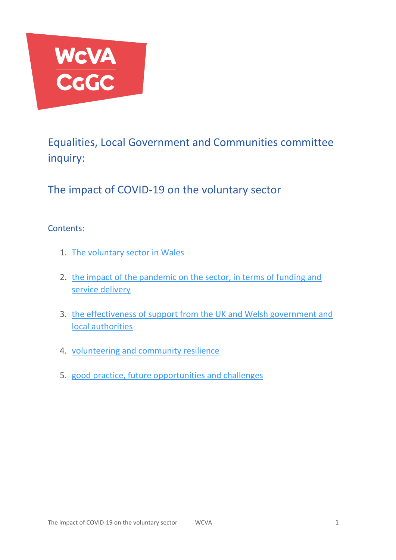

Equalities, Local Government and Communities committee inquiry:

The impact of COVID-19 on the voluntary sector

# Contents:

- 1. [The voluntary sector in Wales](#page-1-0)
- 2. [the impact of the pandemic on the sector, in terms of funding and](#page-3-0)  [service delivery](#page-3-0)
- 3. [the effectiveness of support from the UK and Welsh government and](#page-6-0)  [local authorities](#page-6-0)
- 4. [volunteering and community resilience](#page-9-0)
- 5. [good practice, future opportunities and challenges](#page-11-0)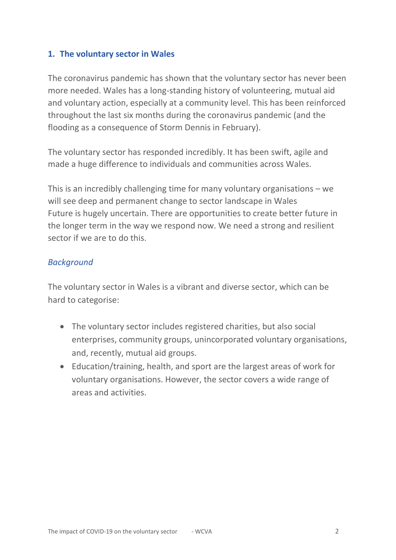#### <span id="page-1-0"></span>**1. The voluntary sector in Wales**

The coronavirus pandemic has shown that the voluntary sector has never been more needed. Wales has a long-standing history of volunteering, mutual aid and voluntary action, especially at a community level. This has been reinforced throughout the last six months during the coronavirus pandemic (and the flooding as a consequence of Storm Dennis in February).

The voluntary sector has responded incredibly. It has been swift, agile and made a huge difference to individuals and communities across Wales.

This is an incredibly challenging time for many voluntary organisations – we will see deep and permanent change to sector landscape in Wales Future is hugely uncertain. There are opportunities to create better future in the longer term in the way we respond now. We need a strong and resilient sector if we are to do this.

### *Background*

The voluntary sector in Wales is a vibrant and diverse sector, which can be hard to categorise:

- The voluntary sector includes registered charities, but also social enterprises, community groups, unincorporated voluntary organisations, and, recently, mutual aid groups.
- Education/training, health, and sport are the largest areas of work for voluntary organisations. However, the sector covers a wide range of areas and activities.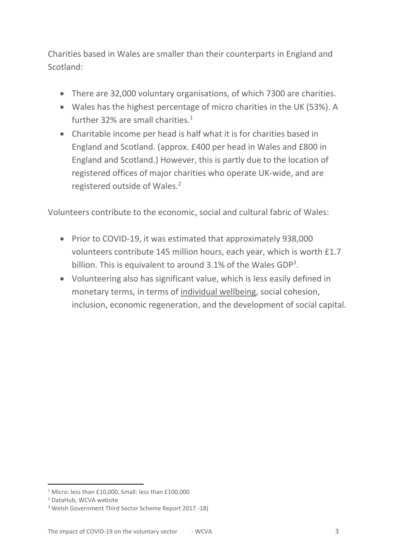Charities based in Wales are smaller than their counterparts in England and Scotland:

- There are 32,000 voluntary organisations, of which 7300 are charities.
- Wales has the highest percentage of micro charities in the UK (53%). A further 32% are small charities. $1$
- Charitable income per head is half what it is for charities based in England and Scotland. (approx. £400 per head in Wales and £800 in England and Scotland.) However, this is partly due to the location of registered offices of major charities who operate UK-wide, and are registered outside of Wales.<sup>2</sup>

Volunteers contribute to the economic, social and cultural fabric of Wales:

- Prior to COVID-19, it was estimated that approximately 938,000 volunteers contribute 145 million hours, each year, which is worth £1.7 billion. This is equivalent to around  $3.1\%$  of the Wales GDP<sup>3</sup>.
- Volunteering also has significant value, which is less easily defined in monetary terms, in terms of [individual wellbeing,](https://whatworkswellbeing.org/resources/volunteer-wellbeing-what-works-and-who-benefits/) social cohesion, inclusion, economic regeneration, and the development of social capital.

<sup>1</sup> Micro: less than £10,000, Small: less than £100,000

<sup>2</sup> DataHub, WCVA website

<sup>3</sup> Welsh Government Third Sector Scheme Report 2017 -18)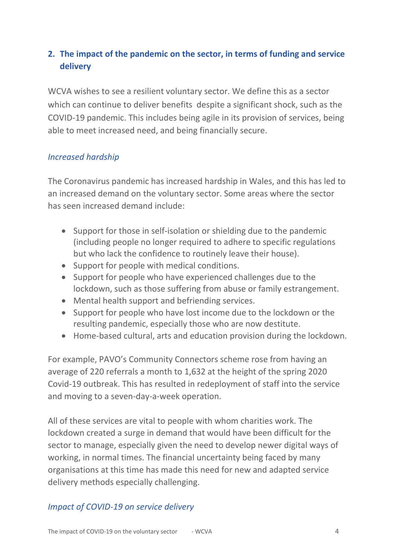# <span id="page-3-0"></span>**2. The impact of the pandemic on the sector, in terms of funding and service delivery**

WCVA wishes to see a resilient voluntary sector. We define this as a sector which can continue to deliver benefits despite a significant shock, such as the COVID-19 pandemic. This includes being agile in its provision of services, being able to meet increased need, and being financially secure.

#### *Increased hardship*

The Coronavirus pandemic has increased hardship in Wales, and this has led to an increased demand on the voluntary sector. Some areas where the sector has seen increased demand include:

- Support for those in self-isolation or shielding due to the pandemic (including people no longer required to adhere to specific regulations but who lack the confidence to routinely leave their house).
- Support for people with medical conditions.
- Support for people who have experienced challenges due to the lockdown, such as those suffering from abuse or family estrangement.
- Mental health support and befriending services.
- Support for people who have lost income due to the lockdown or the resulting pandemic, especially those who are now destitute.
- Home-based cultural, arts and education provision during the lockdown.

For example, PAVO's Community Connectors scheme rose from having an average of 220 referrals a month to 1,632 at the height of the spring 2020 Covid-19 outbreak. This has resulted in redeployment of staff into the service and moving to a seven-day-a-week operation.

All of these services are vital to people with whom charities work. The lockdown created a surge in demand that would have been difficult for the sector to manage, especially given the need to develop newer digital ways of working, in normal times. The financial uncertainty being faced by many organisations at this time has made this need for new and adapted service delivery methods especially challenging.

#### *Impact of COVID-19 on service delivery*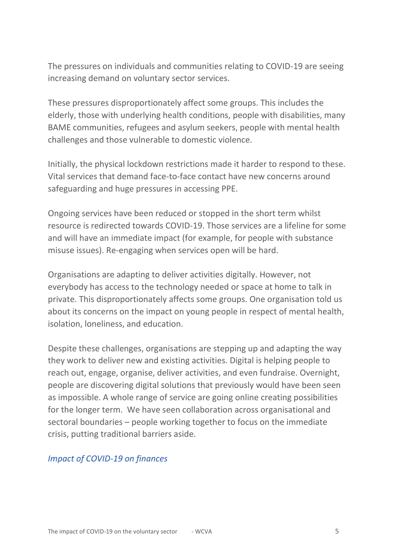The pressures on individuals and communities relating to COVID-19 are seeing increasing demand on voluntary sector services.

These pressures disproportionately affect some groups. This includes the elderly, those with underlying health conditions, people with disabilities, many BAME communities, refugees and asylum seekers, people with mental health challenges and those vulnerable to domestic violence.

Initially, the physical lockdown restrictions made it harder to respond to these. Vital services that demand face-to-face contact have new concerns around safeguarding and huge pressures in accessing PPE.

Ongoing services have been reduced or stopped in the short term whilst resource is redirected towards COVID-19. Those services are a lifeline for some and will have an immediate impact (for example, for people with substance misuse issues). Re-engaging when services open will be hard.

Organisations are adapting to deliver activities digitally. However, not everybody has access to the technology needed or space at home to talk in private. This disproportionately affects some groups. One organisation told us about its concerns on the impact on young people in respect of mental health, isolation, loneliness, and education.

Despite these challenges, organisations are stepping up and adapting the way they work to deliver new and existing activities. Digital is helping people to reach out, engage, organise, deliver activities, and even fundraise. Overnight, people are discovering digital solutions that previously would have been seen as impossible. A whole range of service are going online creating possibilities for the longer term. We have seen collaboration across organisational and sectoral boundaries – people working together to focus on the immediate crisis, putting traditional barriers aside.

#### *Impact of COVID-19 on finances*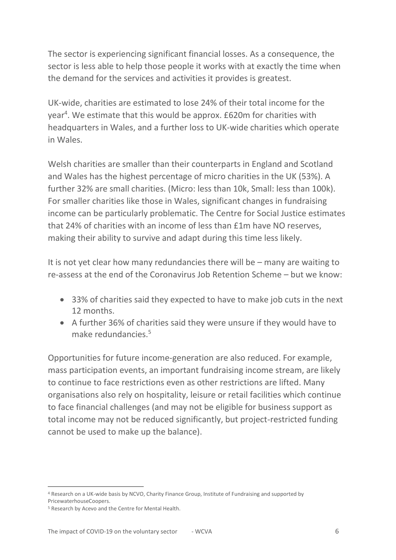The sector is experiencing significant financial losses. As a consequence, the sector is less able to help those people it works with at exactly the time when the demand for the services and activities it provides is greatest.

UK-wide, charities are estimated to lose 24% of their total income for the year<sup>4</sup>. We estimate that this would be approx. £620m for charities with headquarters in Wales, and a further loss to UK-wide charities which operate in Wales.

Welsh charities are smaller than their counterparts in England and Scotland and Wales has the highest percentage of micro charities in the UK (53%). A further 32% are small charities. (Micro: less than 10k, Small: less than 100k). For smaller charities like those in Wales, significant changes in fundraising income can be particularly problematic. The Centre for Social Justice estimates that 24% of charities with an income of less than £1m have NO reserves, making their ability to survive and adapt during this time less likely.

It is not yet clear how many redundancies there will be – many are waiting to re-assess at the end of the Coronavirus Job Retention Scheme – but we know:

- 33% of charities said they expected to have to make job cuts in the next 12 months.
- A further 36% of charities said they were unsure if they would have to make redundancies.<sup>5</sup>

Opportunities for future income-generation are also reduced. For example, mass participation events, an important fundraising income stream, are likely to continue to face restrictions even as other restrictions are lifted. Many organisations also rely on hospitality, leisure or retail facilities which continue to face financial challenges (and may not be eligible for business support as total income may not be reduced significantly, but project-restricted funding cannot be used to make up the balance).

<sup>4</sup> Research on a UK-wide basis by NCVO, Charity Finance Group, Institute of Fundraising and supported by PricewaterhouseCoopers.

<sup>5</sup> Research by Acevo and the Centre for Mental Health.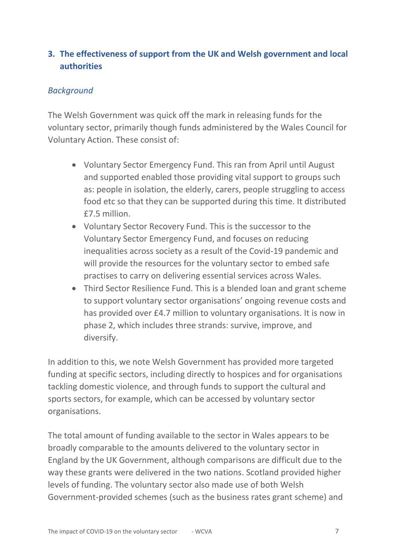# <span id="page-6-0"></span>**3. The effectiveness of support from the UK and Welsh government and local authorities**

## *Background*

The Welsh Government was quick off the mark in releasing funds for the voluntary sector, primarily though funds administered by the Wales Council for Voluntary Action. These consist of:

- Voluntary Sector Emergency Fund. This ran from April until August and supported enabled those providing vital support to groups such as: people in isolation, the elderly, carers, people struggling to access food etc so that they can be supported during this time. It distributed £7.5 million.
- Voluntary Sector Recovery Fund. This is the successor to the Voluntary Sector Emergency Fund, and focuses on reducing inequalities across society as a result of the Covid-19 pandemic and will provide the resources for the voluntary sector to embed safe practises to carry on delivering essential services across Wales.
- Third Sector Resilience Fund. This is a blended loan and grant scheme to support voluntary sector organisations' ongoing revenue costs and has provided over £4.7 million to voluntary organisations. It is now in phase 2, which includes three strands: survive, improve, and diversify.

In addition to this, we note Welsh Government has provided more targeted funding at specific sectors, including directly to hospices and for organisations tackling domestic violence, and through funds to support the cultural and sports sectors, for example, which can be accessed by voluntary sector organisations.

The total amount of funding available to the sector in Wales appears to be broadly comparable to the amounts delivered to the voluntary sector in England by the UK Government, although comparisons are difficult due to the way these grants were delivered in the two nations. Scotland provided higher levels of funding. The voluntary sector also made use of both Welsh Government-provided schemes (such as the business rates grant scheme) and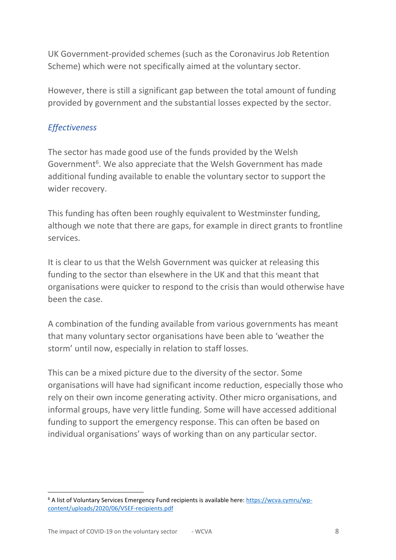UK Government-provided schemes (such as the Coronavirus Job Retention Scheme) which were not specifically aimed at the voluntary sector.

However, there is still a significant gap between the total amount of funding provided by government and the substantial losses expected by the sector.

## *Effectiveness*

The sector has made good use of the funds provided by the Welsh Government<sup>6</sup>. We also appreciate that the Welsh Government has made additional funding available to enable the voluntary sector to support the wider recovery.

This funding has often been roughly equivalent to Westminster funding, although we note that there are gaps, for example in direct grants to frontline services.

It is clear to us that the Welsh Government was quicker at releasing this funding to the sector than elsewhere in the UK and that this meant that organisations were quicker to respond to the crisis than would otherwise have been the case.

A combination of the funding available from various governments has meant that many voluntary sector organisations have been able to 'weather the storm' until now, especially in relation to staff losses.

This can be a mixed picture due to the diversity of the sector. Some organisations will have had significant income reduction, especially those who rely on their own income generating activity. Other micro organisations, and informal groups, have very little funding. Some will have accessed additional funding to support the emergency response. This can often be based on individual organisations' ways of working than on any particular sector.

<sup>6</sup> A list of Voluntary Services Emergency Fund recipients is available here: [https://wcva.cymru/wp](https://wcva.cymru/wp-content/uploads/2020/06/VSEF-recipients.pdf)[content/uploads/2020/06/VSEF-recipients.pdf](https://wcva.cymru/wp-content/uploads/2020/06/VSEF-recipients.pdf)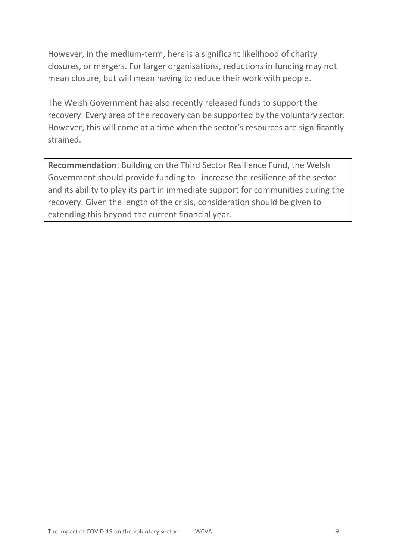However, in the medium-term, here is a significant likelihood of charity closures, or mergers. For larger organisations, reductions in funding may not mean closure, but will mean having to reduce their work with people.

The Welsh Government has also recently released funds to support the recovery. Every area of the recovery can be supported by the voluntary sector. However, this will come at a time when the sector's resources are significantly strained.

**Recommendation**: Building on the Third Sector Resilience Fund, the Welsh Government should provide funding to increase the resilience of the sector and its ability to play its part in immediate support for communities during the recovery. Given the length of the crisis, consideration should be given to extending this beyond the current financial year.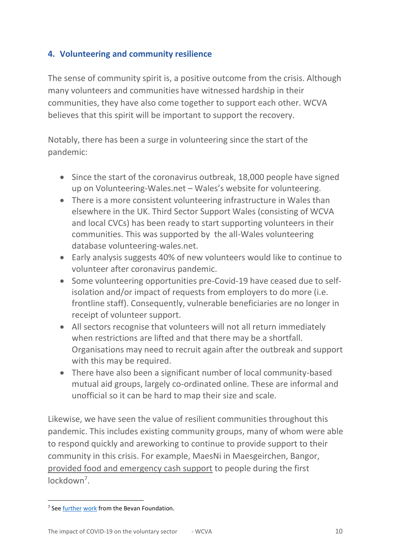# <span id="page-9-0"></span>**4. Volunteering and community resilience**

The sense of community spirit is, a positive outcome from the crisis. Although many volunteers and communities have witnessed hardship in their communities, they have also come together to support each other. WCVA believes that this spirit will be important to support the recovery.

Notably, there has been a surge in volunteering since the start of the pandemic:

- Since the start of the coronavirus outbreak, 18,000 people have signed up on Volunteering-Wales.net – Wales's website for volunteering.
- There is a more consistent volunteering infrastructure in Wales than elsewhere in the UK. Third Sector Support Wales (consisting of WCVA and local CVCs) has been ready to start supporting volunteers in their communities. This was supported by the all-Wales volunteering database volunteering-wales.net.
- Early analysis suggests 40% of new volunteers would like to continue to volunteer after coronavirus pandemic.
- Some volunteering opportunities pre-Covid-19 have ceased due to selfisolation and/or impact of requests from employers to do more (i.e. frontline staff). Consequently, vulnerable beneficiaries are no longer in receipt of volunteer support.
- All sectors recognise that volunteers will not all return immediately when restrictions are lifted and that there may be a shortfall. Organisations may need to recruit again after the outbreak and support with this may be required.
- There have also been a significant number of local community-based mutual aid groups, largely co-ordinated online. These are informal and unofficial so it can be hard to map their size and scale.

Likewise, we have seen the value of resilient communities throughout this pandemic. This includes existing community groups, many of whom were able to respond quickly and areworking to continue to provide support to their community in this crisis. For example, MaesNi in Maesgeirchen, Bangor, [provided food and emergency cash support](https://wcva.cymru/wales-answers-the-call/) to people during the first lockdown<sup>7</sup>.

<sup>&</sup>lt;sup>7</sup> See **further [work](https://www.bevanfoundation.org/publications/coronavirus-community-responses-in-merthyr-tydfil/)** from the Bevan Foundation.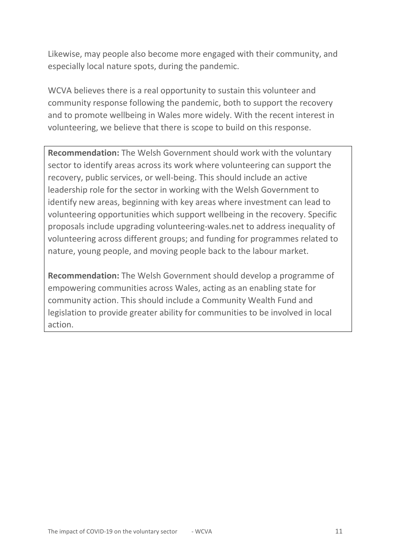Likewise, may people also become more engaged with their community, and especially local nature spots, during the pandemic.

WCVA believes there is a real opportunity to sustain this volunteer and community response following the pandemic, both to support the recovery and to promote wellbeing in Wales more widely. With the recent interest in volunteering, we believe that there is scope to build on this response.

**Recommendation:** The Welsh Government should work with the voluntary sector to identify areas across its work where volunteering can support the recovery, public services, or well-being. This should include an active leadership role for the sector in working with the Welsh Government to identify new areas, beginning with key areas where investment can lead to volunteering opportunities which support wellbeing in the recovery. Specific proposals include upgrading volunteering-wales.net to address inequality of volunteering across different groups; and funding for programmes related to nature, young people, and moving people back to the labour market.

**Recommendation:** The Welsh Government should develop a programme of empowering communities across Wales, acting as an enabling state for community action. This should include a Community Wealth Fund and legislation to provide greater ability for communities to be involved in local action.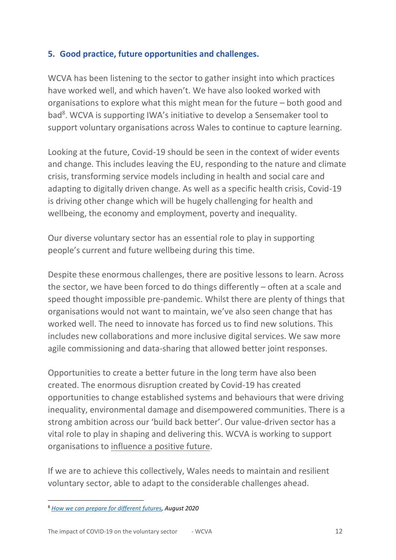## <span id="page-11-0"></span>**5. Good practice, future opportunities and challenges.**

WCVA has been listening to the sector to gather insight into which practices have worked well, and which haven't. We have also looked worked with organisations to explore what this might mean for the future – both good and bad<sup>8</sup>. WCVA is supporting IWA's initiative to develop a Sensemaker tool to support voluntary organisations across Wales to continue to capture learning.

Looking at the future, Covid-19 should be seen in the context of wider events and change. This includes [leaving the EU,](https://wcva.cymru/influencing/brexit/) responding to the nature and climate crisis, transforming service models including in health and social care and adapting to digitally driven change. As well as a specific health crisis, Covid-19 is driving other change which will be hugely challenging for health and wellbeing, the economy and employment, poverty and inequality.

Our diverse voluntary sector has an essential role to play in supporting people's current and future wellbeing during this time.

Despite these enormous challenges, there are positive lessons to learn. Across the sector, we have been forced to do things differently – often at a scale and speed thought impossible pre-pandemic. Whilst there are plenty of things that organisations would not want to maintain, we've also seen change that has worked well. The need to innovate has forced us to find new solutions. This includes new collaborations and more inclusive digital services. We saw more agile commissioning and data-sharing that allowed better joint responses.

Opportunities to create a better future in the long term have also been created. The enormous disruption created by Covid-19 has created opportunities to change established systems and behaviours that were driving inequality, environmental damage and disempowered communities. There is a strong ambition across our 'build back better'. Our value-driven sector has a vital role to play in shaping and delivering this. WCVA is working to support organisations to [influence a positive future.](https://wcva.cymru/influencing-a-positive-future/)

If we are to achieve this collectively, Wales needs to maintain and resilient voluntary sector, able to adapt to the considerable challenges ahead.

<sup>8</sup> *[How we can prepare for different futures,](https://wcva.cymru/views/how-we-can-prepare-for-different-futures/) August 2020*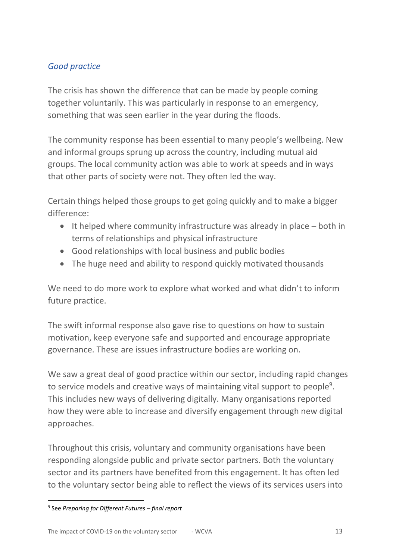# *Good practice*

The crisis has shown the difference that can be made by people coming together voluntarily. This was particularly in response to an emergency, something that was seen earlier in the year during the floods.

The community response has been essential to many people's wellbeing. New and informal groups sprung up across the country, including mutual aid groups. The local community action was able to work at speeds and in ways that other parts of society were not. They often led the way.

Certain things helped those groups to get going quickly and to make a bigger difference:

- It helped where community infrastructure was already in place both in terms of relationships and physical infrastructure
- Good relationships with local business and public bodies
- The huge need and ability to respond quickly motivated thousands

We need to do more work to explore what worked and what didn't to inform future practice.

The swift informal response also gave rise to questions on how to sustain motivation, keep everyone safe and supported and encourage appropriate governance. These are issues infrastructure bodies are working on.

We saw a great deal of good practice within our sector, including rapid changes to service models and creative ways of maintaining vital support to people<sup>9</sup>. This includes new ways of delivering digitally. Many organisations reported how they were able to increase and diversify engagement through new digital approaches.

Throughout this crisis, voluntary and community organisations have been responding alongside public and private sector partners. Both the voluntary sector and its partners have benefited from this engagement. It has often led to the voluntary sector being able to reflect the views of its services users into

<sup>9</sup> See *Preparing for Different Futures – final report*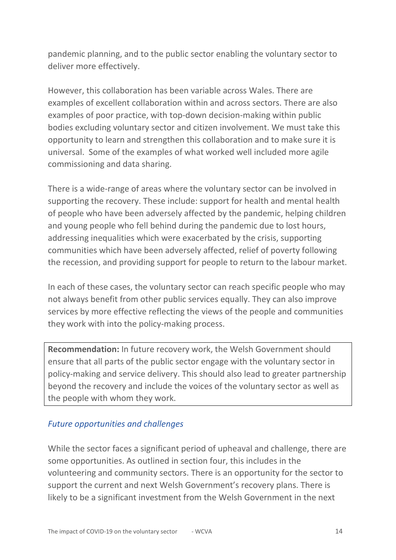pandemic planning, and to the public sector enabling the voluntary sector to deliver more effectively.

However, this collaboration has been variable across Wales. There are examples of excellent collaboration within and across sectors. There are also examples of poor practice, with top-down decision-making within public bodies excluding voluntary sector and citizen involvement. We must take this opportunity to learn and strengthen this collaboration and to make sure it is universal. Some of the examples of what worked well included more agile commissioning and data sharing.

There is a wide-range of areas where the voluntary sector can be involved in supporting the recovery. These include: support for health and mental health of people who have been adversely affected by the pandemic, helping children and young people who fell behind during the pandemic due to lost hours, addressing inequalities which were exacerbated by the crisis, supporting communities which have been adversely affected, relief of poverty following the recession, and providing support for people to return to the labour market.

In each of these cases, the voluntary sector can reach specific people who may not always benefit from other public services equally. They can also improve services by more effective reflecting the views of the people and communities they work with into the policy-making process.

**Recommendation:** In future recovery work, the Welsh Government should ensure that all parts of the public sector engage with the voluntary sector in policy-making and service delivery. This should also lead to greater partnership beyond the recovery and include the voices of the voluntary sector as well as the people with whom they work.

#### *Future opportunities and challenges*

While the sector faces a significant period of upheaval and challenge, there are some opportunities. As outlined in section four, this includes in the volunteering and community sectors. There is an opportunity for the sector to support the current and next Welsh Government's recovery plans. There is likely to be a significant investment from the Welsh Government in the next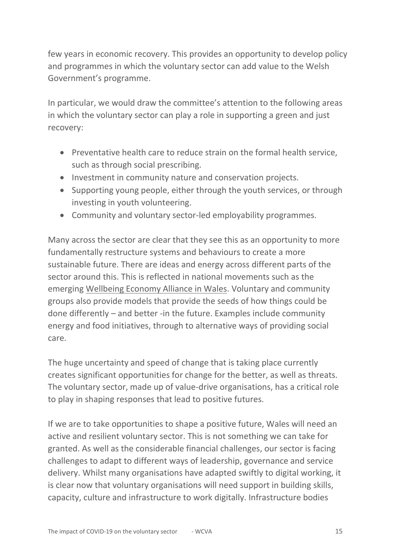few years in economic recovery. This provides an opportunity to develop policy and programmes in which the voluntary sector can add value to the Welsh Government's programme.

In particular, we would draw the committee's attention to the following areas in which the voluntary sector can play a role in supporting a green and just recovery:

- Preventative health care to reduce strain on the formal health service, such as through social prescribing.
- Investment in community nature and conservation projects.
- Supporting young people, either through the youth services, or through investing in youth volunteering.
- Community and voluntary sector-led employability programmes.

Many across the sector are clear that they see this as an opportunity to more fundamentally restructure systems and behaviours to create a more sustainable future. There are ideas and energy across different parts of the sector around this. This is reflected in national movements such as the emerging [Wellbeing Economy Alliance in Wales.](https://wellbeingeconomy.org/) Voluntary and community groups also provide models that provide the seeds of how things could be done differently – and better -in the future. Examples include community energy and food initiatives, through to alternative ways of providing social care.

The huge uncertainty and speed of change that is taking place currently creates significant opportunities for change for the better, as well as threats. The voluntary sector, made up of value-drive organisations, has a critical role to play in shaping responses that lead to positive futures.

If we are to take opportunities to shape a positive future, Wales will need an active and resilient voluntary sector. This is not something we can take for granted. As well as the considerable financial challenges, our sector is facing challenges to adapt to different ways of leadership, governance and service delivery. Whilst many organisations have adapted swiftly to digital working, it is clear now that voluntary organisations will need support in building skills, capacity, culture and infrastructure to work digitally. Infrastructure bodies